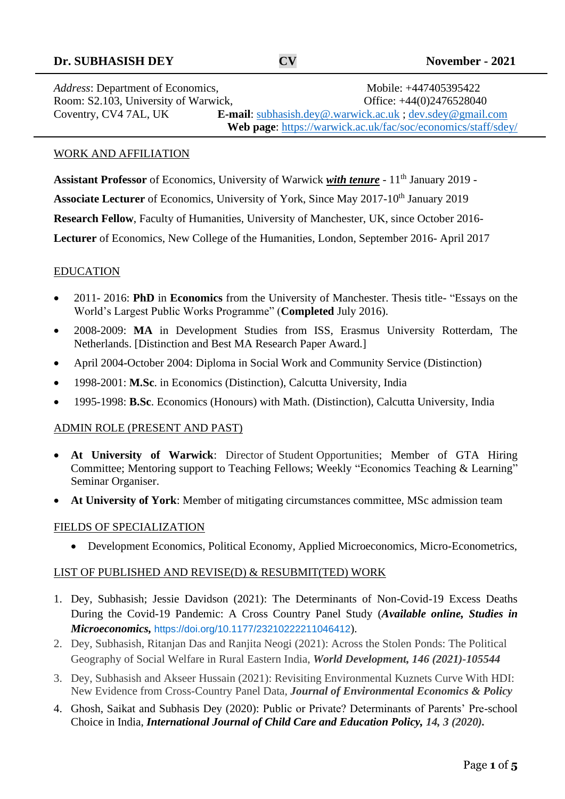## **Dr. SUBHASISH DEY CV November - 2021**

Address: Department of Economics, Mobile: +447405395422 Room: S2.103, University of Warwick, Office: +44(0)2476528040 Coventry, CV4 7AL, UK **E-mail**: [subhasish.dey@.warwick.ac.uk](mailto:subhasish.dey@.warwick.ac.uk) ; [dev.sdey@gmail.com](mailto:dev.sdey@gmail.com)   **Web page**: https://warwick.ac.uk/fac/soc/economics/staff/sdey/

#### WORK AND AFFILIATION

Assistant Professor of Economics, University of Warwick *with tenure* - 11<sup>th</sup> January 2019 -**Associate Lecturer** of Economics, University of York, Since May 2017-10<sup>th</sup> January 2019 **Research Fellow**, Faculty of Humanities, University of Manchester, UK, since October 2016- **Lecturer** of Economics, New College of the Humanities, London, September 2016- April 2017

### EDUCATION

- 2011- 2016: **PhD** in **Economics** from the University of Manchester. Thesis title- "Essays on the World's Largest Public Works Programme" (**Completed** July 2016).
- 2008-2009: **MA** in Development Studies from ISS, Erasmus University Rotterdam, The Netherlands. [Distinction and Best MA Research Paper Award.]
- April 2004-October 2004: Diploma in Social Work and Community Service (Distinction)
- 1998-2001: **M.Sc**. in Economics (Distinction), Calcutta University, India
- 1995-1998: **B.Sc**. Economics (Honours) with Math. (Distinction), Calcutta University, India

### ADMIN ROLE (PRESENT AND PAST)

- **At University of Warwick**: Director of Student Opportunities; Member of GTA Hiring Committee; Mentoring support to Teaching Fellows; Weekly "Economics Teaching & Learning" Seminar Organiser.
- **At University of York**: Member of mitigating circumstances committee, MSc admission team

### FIELDS OF SPECIALIZATION

• Development Economics, Political Economy, Applied Microeconomics, Micro-Econometrics,

### LIST OF PUBLISHED AND REVISE(D) & RESUBMIT(TED) WORK

- 1. Dey, Subhasish; Jessie Davidson (2021): The Determinants of Non-Covid-19 Excess Deaths During the Covid-19 Pandemic: A Cross Country Panel Study (*Available online, Studies in Microeconomics,* [https://doi.org/10.1177/23210222211046412](https://doi.org/10.1177%2F23210222211046412)).
- 2. Dey, Subhasish, Ritanjan Das and Ranjita Neogi (2021): Across the Stolen Ponds: The Political Geography of Social Welfare in Rural Eastern India, *World Development, 146 (2021)-105544*
- 3. Dey, Subhasish and Akseer Hussain (2021): Revisiting Environmental Kuznets Curve With HDI: New Evidence from Cross-Country Panel Data, *Journal of Environmental Economics & Policy*
- 4. Ghosh, Saikat and Subhasis Dey (2020): Public or Private? Determinants of Parents' Pre-school Choice in India, *International Journal of Child Care and Education Policy, 14, 3 (2020).*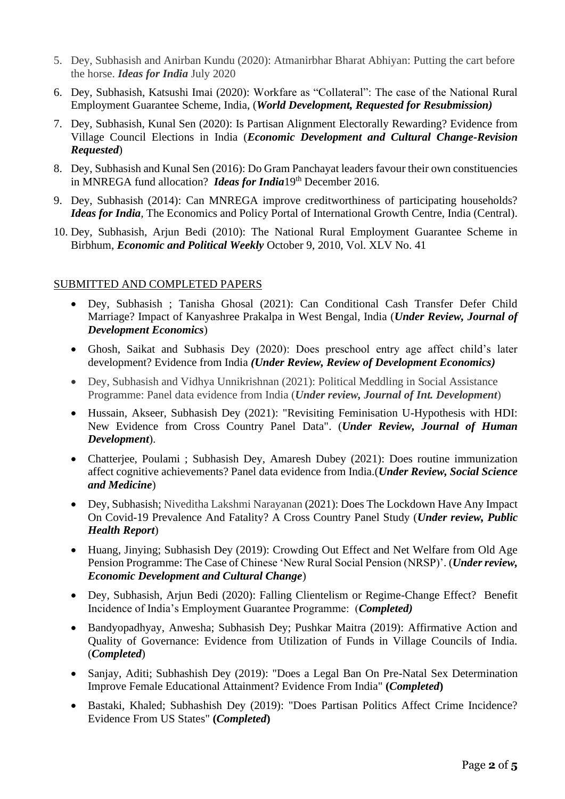- 5. Dey, Subhasish and Anirban Kundu (2020): Atmanirbhar Bharat Abhiyan: Putting the cart before the horse. *Ideas for India* July 2020
- 6. Dey, Subhasish, Katsushi Imai (2020): Workfare as "Collateral": The case of the National Rural Employment Guarantee Scheme, India, (*World Development, Requested for Resubmission)*
- 7. Dey, Subhasish, Kunal Sen (2020): Is Partisan Alignment Electorally Rewarding? Evidence from Village Council Elections in India (*Economic Development and Cultural Change-Revision Requested*)
- 8. Dey, Subhasish and Kunal Sen (2016): Do Gram Panchayat leaders favour their own constituencies in MNREGA fund allocation? *Ideas for India*19<sup>th</sup> December 2016.
- 9. Dey, Subhasish (2014): Can MNREGA improve creditworthiness of participating households? *Ideas for India,* The Economics and Policy Portal of International Growth Centre, India (Central).
- 10. Dey, Subhasish, Arjun Bedi (2010): The National Rural Employment Guarantee Scheme in Birbhum, *Economic and Political Weekly* October 9, 2010, Vol. XLV No. 41

## SUBMITTED AND COMPLETED PAPERS

- Dey, Subhasish ; Tanisha Ghosal (2021): Can Conditional Cash Transfer Defer Child Marriage? Impact of Kanyashree Prakalpa in West Bengal, India (*Under Review, Journal of Development Economics*)
- Ghosh, Saikat and Subhasis Dey (2020): Does preschool entry age affect child's later development? Evidence from India *(Under Review, Review of Development Economics)*
- Dey, Subhasish and Vidhya Unnikrishnan (2021): Political Meddling in Social Assistance Programme: Panel data evidence from India (*Under review, Journal of Int. Development*)
- Hussain, Akseer, Subhasish Dey (2021): "Revisiting Feminisation U-Hypothesis with HDI: New Evidence from Cross Country Panel Data". (*Under Review, Journal of Human Development*).
- Chatterjee, Poulami ; Subhasish Dey, Amaresh Dubey (2021): Does routine immunization affect cognitive achievements? Panel data evidence from India.(*Under Review, Social Science and Medicine*)
- Dey, Subhasish; Niveditha Lakshmi Narayanan (2021): Does The Lockdown Have Any Impact On Covid-19 Prevalence And Fatality? A Cross Country Panel Study (*Under review, Public Health Report*)
- Huang, Jinying; Subhasish Dey (2019): Crowding Out Effect and Net Welfare from Old Age Pension Programme: The Case of Chinese 'New Rural Social Pension (NRSP)'. (*Under review, Economic Development and Cultural Change*)
- Dey, Subhasish, Arjun Bedi (2020): Falling Clientelism or Regime-Change Effect? Benefit Incidence of India's Employment Guarantee Programme: (*Completed)*
- Bandyopadhyay, Anwesha; Subhasish Dey; Pushkar Maitra (2019): Affirmative Action and Quality of Governance: Evidence from Utilization of Funds in Village Councils of India. (*Completed*)
- Sanjay, Aditi; Subhashish Dey (2019): "Does a Legal Ban On Pre-Natal Sex Determination Improve Female Educational Attainment? Evidence From India" **(***Completed***)**
- Bastaki, Khaled; Subhashish Dey (2019): "Does Partisan Politics Affect Crime Incidence? Evidence From US States" **(***Completed***)**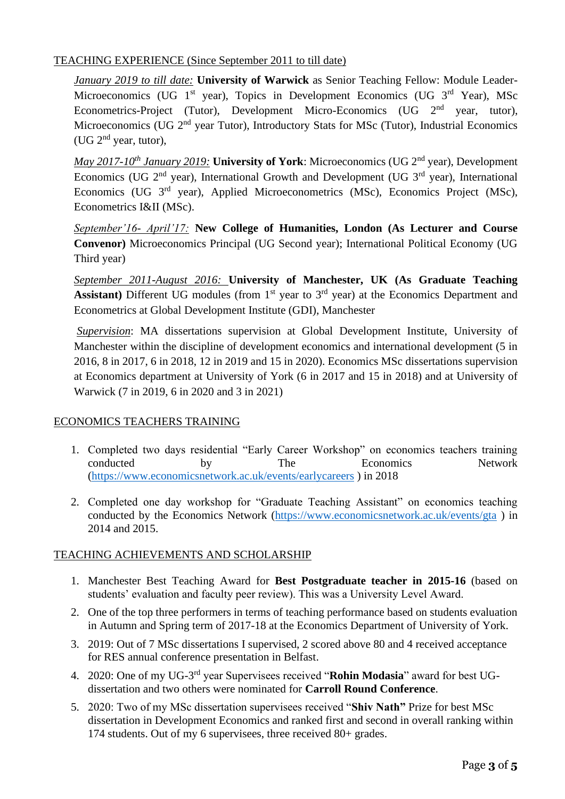# TEACHING EXPERIENCE (Since September 2011 to till date)

*January 2019 to till date:* **University of Warwick** as Senior Teaching Fellow: Module Leader-Microeconomics (UG  $1<sup>st</sup>$  year), Topics in Development Economics (UG  $3<sup>rd</sup>$  Year), MSc Econometrics-Project (Tutor), Development Micro-Economics (UG 2nd year, tutor), Microeconomics (UG 2<sup>nd</sup> year Tutor), Introductory Stats for MSc (Tutor), Industrial Economics (UG  $2^{nd}$  year, tutor),

*May 2017-10th January 2019:* **University of York**: Microeconomics (UG 2nd year), Development Economics (UG 2<sup>nd</sup> year), International Growth and Development (UG 3<sup>rd</sup> year), International Economics (UG 3rd year), Applied Microeconometrics (MSc), Economics Project (MSc), Econometrics I&II (MSc).

*September'16- April'17:* **New College of Humanities, London (As Lecturer and Course Convenor)** Microeconomics Principal (UG Second year); International Political Economy (UG Third year)

*September 2011-August 2016:* **University of Manchester, UK (As Graduate Teaching**  Assistant) Different UG modules (from 1<sup>st</sup> year to 3<sup>rd</sup> year) at the Economics Department and Econometrics at Global Development Institute (GDI), Manchester

*Supervision*: MA dissertations supervision at Global Development Institute, University of Manchester within the discipline of development economics and international development (5 in 2016, 8 in 2017, 6 in 2018, 12 in 2019 and 15 in 2020). Economics MSc dissertations supervision at Economics department at University of York (6 in 2017 and 15 in 2018) and at University of Warwick (7 in 2019, 6 in 2020 and 3 in 2021)

# ECONOMICS TEACHERS TRAINING

- 1. Completed two days residential "Early Career Workshop" on economics teachers training conducted by The Economics Network [\(https://www.economicsnetwork.ac.uk/events/earlycareers](https://www.economicsnetwork.ac.uk/events/earlycareers) ) in 2018
- 2. Completed one day workshop for "Graduate Teaching Assistant" on economics teaching conducted by the Economics Network [\(https://www.economicsnetwork.ac.uk/events/gta](https://www.economicsnetwork.ac.uk/events/gta) ) in 2014 and 2015.

# TEACHING ACHIEVEMENTS AND SCHOLARSHIP

- 1. Manchester Best Teaching Award for **Best Postgraduate teacher in 2015-16** (based on students' evaluation and faculty peer review). This was a University Level Award.
- 2. One of the top three performers in terms of teaching performance based on students evaluation in Autumn and Spring term of 2017-18 at the Economics Department of University of York.
- 3. 2019: Out of 7 MSc dissertations I supervised, 2 scored above 80 and 4 received acceptance for RES annual conference presentation in Belfast.
- 4. 2020: One of my UG-3<sup>rd</sup> year Supervisees received "Rohin Modasia" award for best UGdissertation and two others were nominated for **Carroll Round Conference**.
- 5. 2020: Two of my MSc dissertation supervisees received "**Shiv Nath"** Prize for best MSc dissertation in Development Economics and ranked first and second in overall ranking within 174 students. Out of my 6 supervisees, three received 80+ grades.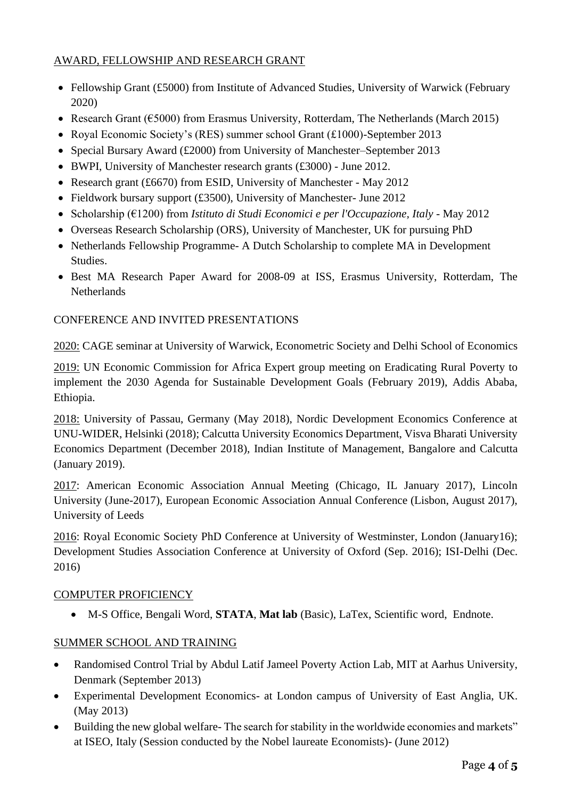# AWARD, FELLOWSHIP AND RESEARCH GRANT

- Fellowship Grant (£5000) from Institute of Advanced Studies, University of Warwick (February 2020)
- Research Grant (€5000) from Erasmus University, Rotterdam, The Netherlands (March 2015)
- Royal Economic Society's (RES) summer school Grant (£1000)-September 2013
- Special Bursary Award (£2000) from University of Manchester–September 2013
- BWPI, University of Manchester research grants (£3000) June 2012.
- Research grant (£6670) from ESID, University of Manchester May 2012
- Fieldwork bursary support (£3500), University of Manchester- June 2012
- Scholarship (€1200) from *Istituto di Studi Economici e per l'Occupazione, Italy* May 2012
- Overseas Research Scholarship (ORS), University of Manchester, UK for pursuing PhD
- Netherlands Fellowship Programme- A Dutch Scholarship to complete MA in Development Studies.
- Best MA Research Paper Award for 2008-09 at ISS, Erasmus University, Rotterdam, The **Netherlands**

# CONFERENCE AND INVITED PRESENTATIONS

2020: CAGE seminar at University of Warwick, Econometric Society and Delhi School of Economics

2019: UN Economic Commission for Africa Expert group meeting on Eradicating Rural Poverty to implement the 2030 Agenda for Sustainable Development Goals (February 2019), Addis Ababa, Ethiopia.

2018: University of Passau, Germany (May 2018), Nordic Development Economics Conference at UNU-WIDER, Helsinki (2018); Calcutta University Economics Department, Visva Bharati University Economics Department (December 2018), Indian Institute of Management, Bangalore and Calcutta (January 2019).

2017: American Economic Association Annual Meeting (Chicago, IL January 2017), Lincoln University (June-2017), European Economic Association Annual Conference (Lisbon, August 2017), University of Leeds

2016: Royal Economic Society PhD Conference at University of Westminster, London (January16); Development Studies Association Conference at University of Oxford (Sep. 2016); ISI-Delhi (Dec. 2016)

## COMPUTER PROFICIENCY

• M-S Office, Bengali Word, **STATA**, **Mat lab** (Basic), LaTex, Scientific word, Endnote.

# SUMMER SCHOOL AND TRAINING

- Randomised Control Trial by Abdul Latif Jameel Poverty Action Lab, MIT at Aarhus University, Denmark (September 2013)
- Experimental Development Economics- at London campus of University of East Anglia, UK. (May 2013)
- Building the new global welfare- The search for stability in the worldwide economies and markets" at ISEO, Italy (Session conducted by the Nobel laureate Economists)- (June 2012)